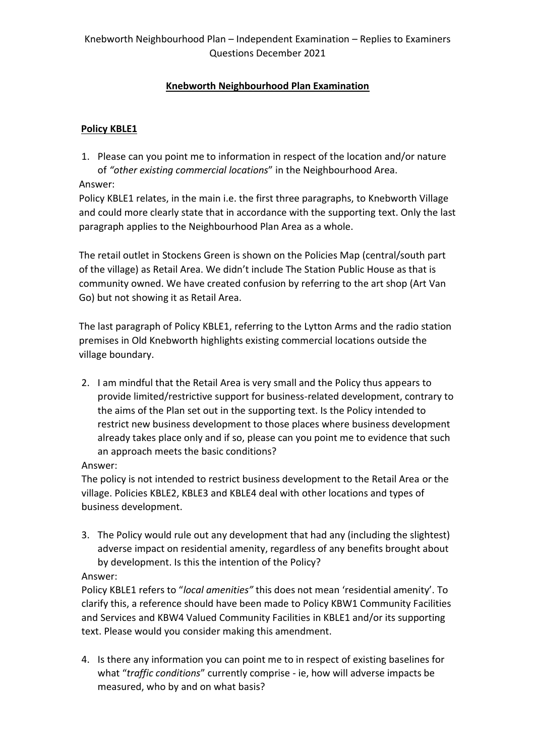# **Knebworth Neighbourhood Plan Examination**

# **Policy KBLE1**

1. Please can you point me to information in respect of the location and/or nature of *"other existing commercial locations*" in the Neighbourhood Area.

### Answer:

Policy KBLE1 relates, in the main i.e. the first three paragraphs, to Knebworth Village and could more clearly state that in accordance with the supporting text. Only the last paragraph applies to the Neighbourhood Plan Area as a whole.

The retail outlet in Stockens Green is shown on the Policies Map (central/south part of the village) as Retail Area. We didn't include The Station Public House as that is community owned. We have created confusion by referring to the art shop (Art Van Go) but not showing it as Retail Area.

The last paragraph of Policy KBLE1, referring to the Lytton Arms and the radio station premises in Old Knebworth highlights existing commercial locations outside the village boundary.

2. I am mindful that the Retail Area is very small and the Policy thus appears to provide limited/restrictive support for business-related development, contrary to the aims of the Plan set out in the supporting text. Is the Policy intended to restrict new business development to those places where business development already takes place only and if so, please can you point me to evidence that such an approach meets the basic conditions?

### Answer:

The policy is not intended to restrict business development to the Retail Area or the village. Policies KBLE2, KBLE3 and KBLE4 deal with other locations and types of business development.

3. The Policy would rule out any development that had any (including the slightest) adverse impact on residential amenity, regardless of any benefits brought about by development. Is this the intention of the Policy?

## Answer:

Policy KBLE1 refers to "*local amenities"* this does not mean 'residential amenity'. To clarify this, a reference should have been made to Policy KBW1 Community Facilities and Services and KBW4 Valued Community Facilities in KBLE1 and/or its supporting text. Please would you consider making this amendment.

4. Is there any information you can point me to in respect of existing baselines for what "*traffic conditions*" currently comprise - ie, how will adverse impacts be measured, who by and on what basis?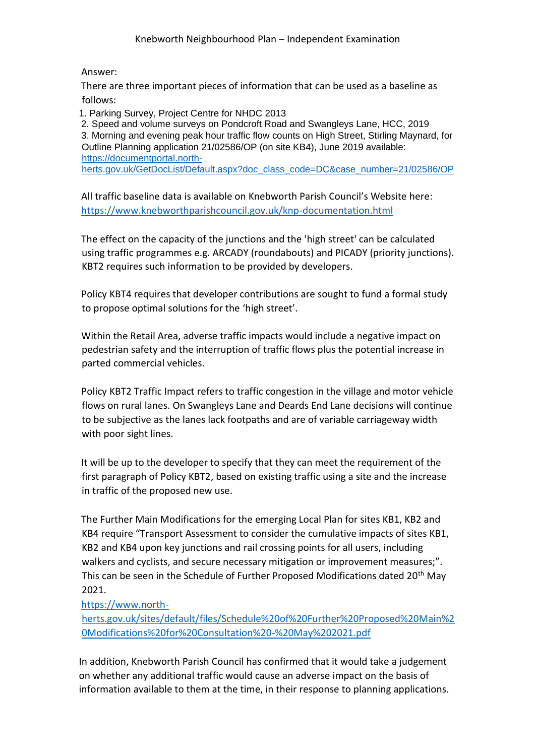Answer:

There are three important pieces of information that can be used as a baseline as follows:

1. Parking Survey, Project Centre for NHDC 2013

2. Speed and volume surveys on Pondcroft Road and Swangleys Lane, HCC, 2019 3. Morning and evening peak hour traffic flow counts on High Street, Stirling Maynard, for Outline Planning application 21/02586/OP (on site KB4), June 2019 available: [https://documentportal.north](https://documentportal.north-herts.gov.uk/GetDocList/Default.aspx?doc_class_code=DC&case_number=21/02586/OP)[herts.gov.uk/GetDocList/Default.aspx?doc\\_class\\_code=DC&case\\_number=21/02586/OP](https://documentportal.north-herts.gov.uk/GetDocList/Default.aspx?doc_class_code=DC&case_number=21/02586/OP)

All traffic baseline data is available on Knebworth Parish Council's Website here: <https://www.knebworthparishcouncil.gov.uk/knp-documentation.html>

The effect on the capacity of the junctions and the 'high street' can be calculated using traffic programmes e.g. ARCADY (roundabouts) and PICADY (priority junctions). KBT2 requires such information to be provided by developers.

Policy KBT4 requires that developer contributions are sought to fund a formal study to propose optimal solutions for the 'high street'.

Within the Retail Area, adverse traffic impacts would include a negative impact on pedestrian safety and the interruption of traffic flows plus the potential increase in parted commercial vehicles.

Policy KBT2 Traffic Impact refers to traffic congestion in the village and motor vehicle flows on rural lanes. On Swangleys Lane and Deards End Lane decisions will continue to be subjective as the lanes lack footpaths and are of variable carriageway width with poor sight lines.

It will be up to the developer to specify that they can meet the requirement of the first paragraph of Policy KBT2, based on existing traffic using a site and the increase in traffic of the proposed new use.

The Further Main Modifications for the emerging Local Plan for sites KB1, KB2 and KB4 require "Transport Assessment to consider the cumulative impacts of sites KB1, KB2 and KB4 upon key junctions and rail crossing points for all users, including walkers and cyclists, and secure necessary mitigation or improvement measures;". This can be seen in the Schedule of Further Proposed Modifications dated 20<sup>th</sup> May 2021.

[https://www.north-](https://www.north-herts.gov.uk/sites/default/files/Schedule%20of%20Further%20Proposed%20Main%20Modifications%20for%20Consultation%20-%20May%202021.pdf)

[herts.gov.uk/sites/default/files/Schedule%20of%20Further%20Proposed%20Main%2](https://www.north-herts.gov.uk/sites/default/files/Schedule%20of%20Further%20Proposed%20Main%20Modifications%20for%20Consultation%20-%20May%202021.pdf) [0Modifications%20for%20Consultation%20-%20May%202021.pdf](https://www.north-herts.gov.uk/sites/default/files/Schedule%20of%20Further%20Proposed%20Main%20Modifications%20for%20Consultation%20-%20May%202021.pdf)

In addition, Knebworth Parish Council has confirmed that it would take a judgement on whether any additional traffic would cause an adverse impact on the basis of information available to them at the time, in their response to planning applications.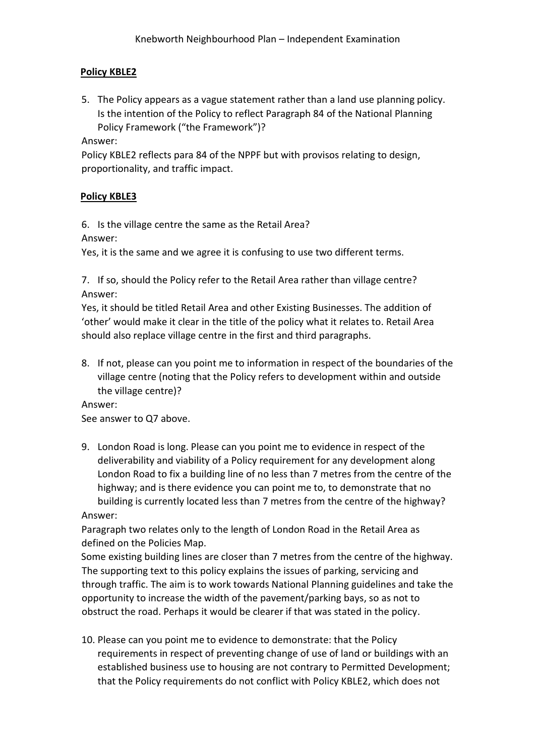### **Policy KBLE2**

5. The Policy appears as a vague statement rather than a land use planning policy. Is the intention of the Policy to reflect Paragraph 84 of the National Planning Policy Framework ("the Framework")?

Answer:

Policy KBLE2 reflects para 84 of the NPPF but with provisos relating to design, proportionality, and traffic impact.

## **Policy KBLE3**

6. Is the village centre the same as the Retail Area?

Answer:

Yes, it is the same and we agree it is confusing to use two different terms.

7. If so, should the Policy refer to the Retail Area rather than village centre? Answer:

Yes, it should be titled Retail Area and other Existing Businesses. The addition of 'other' would make it clear in the title of the policy what it relates to. Retail Area should also replace village centre in the first and third paragraphs.

8. If not, please can you point me to information in respect of the boundaries of the village centre (noting that the Policy refers to development within and outside the village centre)?

Answer:

See answer to Q7 above.

9. London Road is long. Please can you point me to evidence in respect of the deliverability and viability of a Policy requirement for any development along London Road to fix a building line of no less than 7 metres from the centre of the highway; and is there evidence you can point me to, to demonstrate that no building is currently located less than 7 metres from the centre of the highway?

Answer:

Paragraph two relates only to the length of London Road in the Retail Area as defined on the Policies Map.

Some existing building lines are closer than 7 metres from the centre of the highway. The supporting text to this policy explains the issues of parking, servicing and through traffic. The aim is to work towards National Planning guidelines and take the opportunity to increase the width of the pavement/parking bays, so as not to obstruct the road. Perhaps it would be clearer if that was stated in the policy.

10. Please can you point me to evidence to demonstrate: that the Policy requirements in respect of preventing change of use of land or buildings with an established business use to housing are not contrary to Permitted Development; that the Policy requirements do not conflict with Policy KBLE2, which does not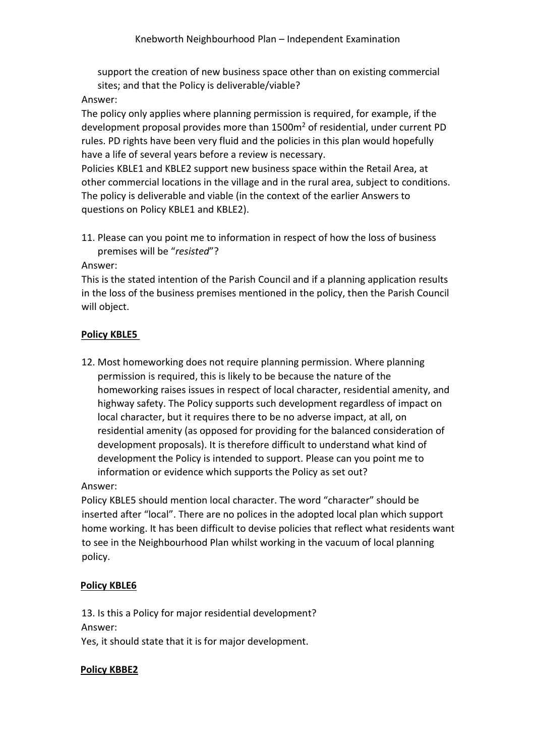support the creation of new business space other than on existing commercial sites; and that the Policy is deliverable/viable?

#### Answer:

The policy only applies where planning permission is required, for example, if the development proposal provides more than 1500m<sup>2</sup> of residential, under current PD rules. PD rights have been very fluid and the policies in this plan would hopefully have a life of several years before a review is necessary.

Policies KBLE1 and KBLE2 support new business space within the Retail Area, at other commercial locations in the village and in the rural area, subject to conditions. The policy is deliverable and viable (in the context of the earlier Answers to questions on Policy KBLE1 and KBLE2).

11. Please can you point me to information in respect of how the loss of business premises will be "*resisted*"?

#### Answer:

This is the stated intention of the Parish Council and if a planning application results in the loss of the business premises mentioned in the policy, then the Parish Council will object.

#### **Policy KBLE5**

12. Most homeworking does not require planning permission. Where planning permission is required, this is likely to be because the nature of the homeworking raises issues in respect of local character, residential amenity, and highway safety. The Policy supports such development regardless of impact on local character, but it requires there to be no adverse impact, at all, on residential amenity (as opposed for providing for the balanced consideration of development proposals). It is therefore difficult to understand what kind of development the Policy is intended to support. Please can you point me to information or evidence which supports the Policy as set out?

#### Answer:

Policy KBLE5 should mention local character. The word "character" should be inserted after "local". There are no polices in the adopted local plan which support home working. It has been difficult to devise policies that reflect what residents want to see in the Neighbourhood Plan whilst working in the vacuum of local planning policy.

### **Policy KBLE6**

13. Is this a Policy for major residential development? Answer: Yes, it should state that it is for major development.

#### **Policy KBBE2**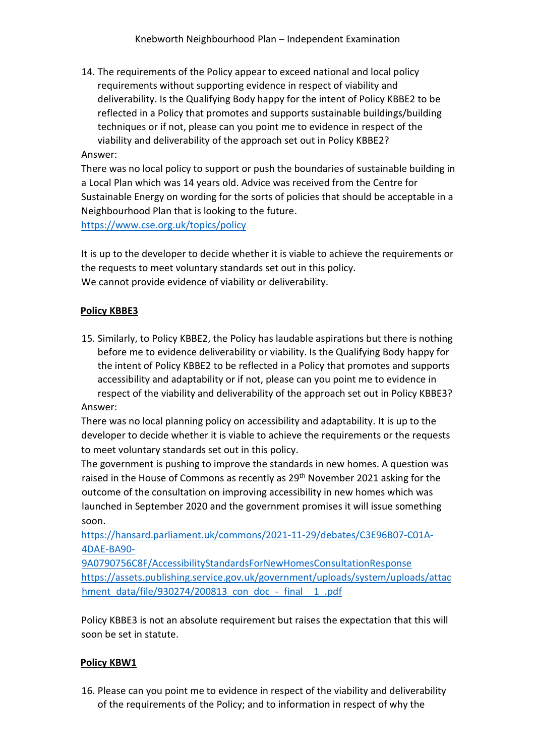14. The requirements of the Policy appear to exceed national and local policy requirements without supporting evidence in respect of viability and deliverability. Is the Qualifying Body happy for the intent of Policy KBBE2 to be reflected in a Policy that promotes and supports sustainable buildings/building techniques or if not, please can you point me to evidence in respect of the viability and deliverability of the approach set out in Policy KBBE2?

### Answer:

There was no local policy to support or push the boundaries of sustainable building in a Local Plan which was 14 years old. Advice was received from the Centre for Sustainable Energy on wording for the sorts of policies that should be acceptable in a Neighbourhood Plan that is looking to the future.

<https://www.cse.org.uk/topics/policy>

It is up to the developer to decide whether it is viable to achieve the requirements or the requests to meet voluntary standards set out in this policy. We cannot provide evidence of viability or deliverability.

### **Policy KBBE3**

15. Similarly, to Policy KBBE2, the Policy has laudable aspirations but there is nothing before me to evidence deliverability or viability. Is the Qualifying Body happy for the intent of Policy KBBE2 to be reflected in a Policy that promotes and supports accessibility and adaptability or if not, please can you point me to evidence in respect of the viability and deliverability of the approach set out in Policy KBBE3?

Answer:

There was no local planning policy on accessibility and adaptability. It is up to the developer to decide whether it is viable to achieve the requirements or the requests to meet voluntary standards set out in this policy.

The government is pushing to improve the standards in new homes. A question was raised in the House of Commons as recently as 29<sup>th</sup> November 2021 asking for the outcome of the consultation on improving accessibility in new homes which was launched in September 2020 and the government promises it will issue something soon.

[https://hansard.parliament.uk/commons/2021-11-29/debates/C3E96B07-C01A-](https://hansard.parliament.uk/commons/2021-11-29/debates/C3E96B07-C01A-4DAE-BA90-9A0790756C8F/AccessibilityStandardsForNewHomesConsultationResponse)[4DAE-BA90-](https://hansard.parliament.uk/commons/2021-11-29/debates/C3E96B07-C01A-4DAE-BA90-9A0790756C8F/AccessibilityStandardsForNewHomesConsultationResponse)

[9A0790756C8F/AccessibilityStandardsForNewHomesConsultationResponse](https://hansard.parliament.uk/commons/2021-11-29/debates/C3E96B07-C01A-4DAE-BA90-9A0790756C8F/AccessibilityStandardsForNewHomesConsultationResponse) [https://assets.publishing.service.gov.uk/government/uploads/system/uploads/attac](https://assets.publishing.service.gov.uk/government/uploads/system/uploads/attachment_data/file/930274/200813_con_doc_-_final__1_.pdf) hment\_data/file/930274/200813\_con\_doc\_-\_final\_1\_.pdf

Policy KBBE3 is not an absolute requirement but raises the expectation that this will soon be set in statute.

### **Policy KBW1**

16. Please can you point me to evidence in respect of the viability and deliverability of the requirements of the Policy; and to information in respect of why the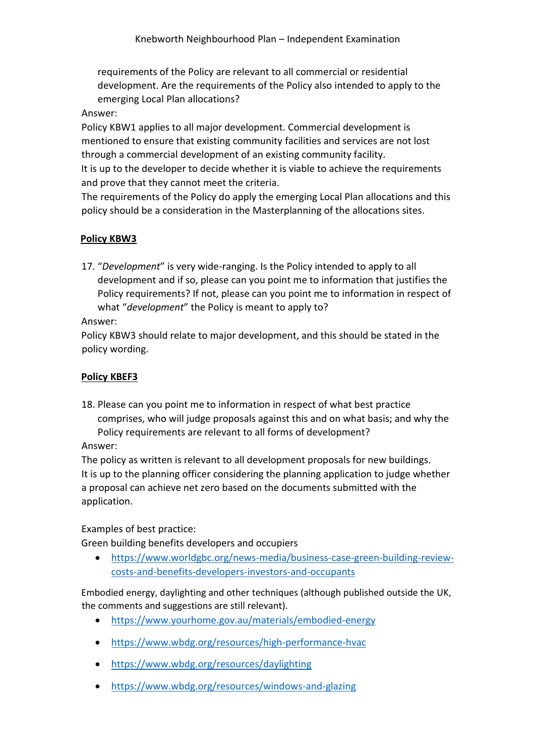requirements of the Policy are relevant to all commercial or residential development. Are the requirements of the Policy also intended to apply to the emerging Local Plan allocations?

### Answer:

Policy KBW1 applies to all major development. Commercial development is mentioned to ensure that existing community facilities and services are not lost through a commercial development of an existing community facility. It is up to the developer to decide whether it is viable to achieve the requirements

and prove that they cannot meet the criteria.

The requirements of the Policy do apply the emerging Local Plan allocations and this policy should be a consideration in the Masterplanning of the allocations sites.

# **Policy KBW3**

17. "*Development*" is very wide-ranging. Is the Policy intended to apply to all development and if so, please can you point me to information that justifies the Policy requirements? If not, please can you point me to information in respect of what "*development*" the Policy is meant to apply to?

### Answer:

Policy KBW3 should relate to major development, and this should be stated in the policy wording.

## **Policy KBEF3**

18. Please can you point me to information in respect of what best practice comprises, who will judge proposals against this and on what basis; and why the Policy requirements are relevant to all forms of development?

## Answer:

The policy as written is relevant to all development proposals for new buildings. It is up to the planning officer considering the planning application to judge whether a proposal can achieve net zero based on the documents submitted with the application.

Examples of best practice:

Green building benefits developers and occupiers

• [https://www.worldgbc.org/news-media/business-case-green-building-review](https://www.worldgbc.org/news-media/business-case-green-building-review-costs-and-benefits-developers-investors-and-occupants)[costs-and-benefits-developers-investors-and-occupants](https://www.worldgbc.org/news-media/business-case-green-building-review-costs-and-benefits-developers-investors-and-occupants)

Embodied energy, daylighting and other techniques (although published outside the UK, the comments and suggestions are still relevant).

- <https://www.yourhome.gov.au/materials/embodied-energy>
- <https://www.wbdg.org/resources/high-performance-hvac>
- <https://www.wbdg.org/resources/daylighting>
- <https://www.wbdg.org/resources/windows-and-glazing>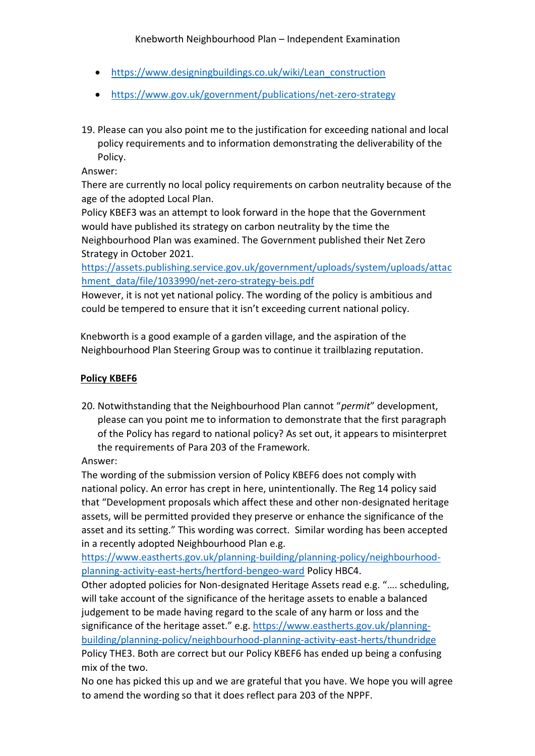- https://www.designingbuildings.co.uk/wiki/Lean construction
- <https://www.gov.uk/government/publications/net-zero-strategy>
- 19. Please can you also point me to the justification for exceeding national and local policy requirements and to information demonstrating the deliverability of the Policy.

Answer:

There are currently no local policy requirements on carbon neutrality because of the age of the adopted Local Plan.

Policy KBEF3 was an attempt to look forward in the hope that the Government would have published its strategy on carbon neutrality by the time the Neighbourhood Plan was examined. The Government published their Net Zero Strategy in October 2021.

[https://assets.publishing.service.gov.uk/government/uploads/system/uploads/attac](https://assets.publishing.service.gov.uk/government/uploads/system/uploads/attachment_data/file/1033990/net-zero-strategy-beis.pdf) [hment\\_data/file/1033990/net-zero-strategy-beis.pdf](https://assets.publishing.service.gov.uk/government/uploads/system/uploads/attachment_data/file/1033990/net-zero-strategy-beis.pdf)

However, it is not yet national policy. The wording of the policy is ambitious and could be tempered to ensure that it isn't exceeding current national policy.

Knebworth is a good example of a garden village, and the aspiration of the Neighbourhood Plan Steering Group was to continue it trailblazing reputation.

# **Policy KBEF6**

20. Notwithstanding that the Neighbourhood Plan cannot "*permit*" development, please can you point me to information to demonstrate that the first paragraph of the Policy has regard to national policy? As set out, it appears to misinterpret the requirements of Para 203 of the Framework.

Answer:

The wording of the submission version of Policy KBEF6 does not comply with national policy. An error has crept in here, unintentionally. The Reg 14 policy said that "Development proposals which affect these and other non-designated heritage assets, will be permitted provided they preserve or enhance the significance of the asset and its setting." This wording was correct. Similar wording has been accepted in a recently adopted Neighbourhood Plan e.g.

[https://www.eastherts.gov.uk/planning-building/planning-policy/neighbourhood](https://www.eastherts.gov.uk/planning-building/planning-policy/neighbourhood-planning-activity-east-herts/hertford-bengeo-ward)[planning-activity-east-herts/hertford-bengeo-ward](https://www.eastherts.gov.uk/planning-building/planning-policy/neighbourhood-planning-activity-east-herts/hertford-bengeo-ward) Policy HBC4.

Other adopted policies for Non-designated Heritage Assets read e.g. "…. scheduling, will take account of the significance of the heritage assets to enable a balanced judgement to be made having regard to the scale of any harm or loss and the significance of the heritage asset." e.g. [https://www.eastherts.gov.uk/planning](https://www.eastherts.gov.uk/planning-building/planning-policy/neighbourhood-planning-activity-east-herts/thundridge)[building/planning-policy/neighbourhood-planning-activity-east-herts/thundridge](https://www.eastherts.gov.uk/planning-building/planning-policy/neighbourhood-planning-activity-east-herts/thundridge) Policy THE3. Both are correct but our Policy KBEF6 has ended up being a confusing mix of the two.

No one has picked this up and we are grateful that you have. We hope you will agree to amend the wording so that it does reflect para 203 of the NPPF.